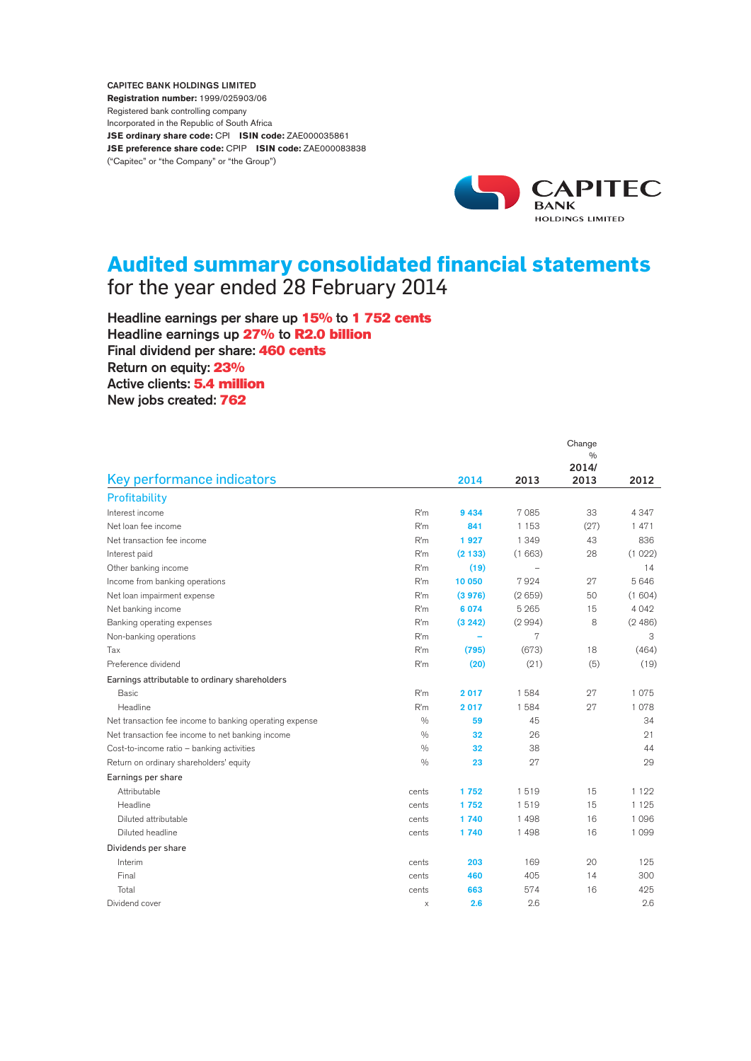CAPITEC BANK HOLDINGS LIMITED **Registration number:** 1999/025903/06 Registered bank controlling company Incorporated in the Republic of South Africa **JSE ordinary share code:** CPI **ISIN code:** ZAE000035861 **JSE preference share code:** CPIP **ISIN code:** ZAE000083838 ("Capitec" or "the Company" or "the Group")



# **Audited summary consolidated financial statements** for the year ended 28 February 2014

Headline earnings per share up 15% to 1752 cents Headline earnings up 27% to R2.0 billion Final dividend per share: 460 cents Return on equity: 23% Active clients: 5.4 million New jobs created: 762

|                                                         |               |         |         | Change        |         |
|---------------------------------------------------------|---------------|---------|---------|---------------|---------|
|                                                         |               |         |         | $\frac{0}{0}$ |         |
|                                                         |               |         |         | 2014/         |         |
| Key performance indicators                              |               | 2014    | 2013    | 2013          | 2012    |
| Profitability                                           |               |         |         |               |         |
| Interest income                                         | R'm           | 9 4 3 4 | 7085    | 33            | 4347    |
| Net loan fee income                                     | R'm           | 841     | 1 1 5 3 | (27)          | 1471    |
| Net transaction fee income                              | R'm           | 1927    | 1 3 4 9 | 43            | 836     |
| Interest paid                                           | R'm           | (2133)  | (1663)  | 28            | (1022)  |
| Other banking income                                    | R'm           | (19)    |         |               | 14      |
| Income from banking operations                          | R'm           | 10 050  | 7924    | 27            | 5646    |
| Net loan impairment expense                             | R'm           | (3976)  | (2659)  | 50            | (1604)  |
| Net banking income                                      | R'm           | 6 0 7 4 | 5 2 6 5 | 15            | 4 0 4 2 |
| Banking operating expenses                              | R'm           | (3 242) | (2994)  | 8             | (2486)  |
| Non-banking operations                                  | R'm           |         | 7       |               | 3       |
| Tax                                                     | R'm           | (795)   | (673)   | 18            | (464)   |
| Preference dividend                                     | R'm           | (20)    | (21)    | (5)           | (19)    |
| Earnings attributable to ordinary shareholders          |               |         |         |               |         |
| <b>Basic</b>                                            | R'm           | 2017    | 1584    | 27            | 1075    |
| Headline                                                | R'm           | 2017    | 1584    | 27            | 1078    |
| Net transaction fee income to banking operating expense | $\frac{0}{0}$ | 59      | 45      |               | 34      |
| Net transaction fee income to net banking income        | $\frac{0}{0}$ | 32      | 26      |               | 21      |
| Cost-to-income ratio - banking activities               | $\frac{0}{0}$ | 32      | 38      |               | 44      |
| Return on ordinary shareholders' equity                 | 0/0           | 23      | 27      |               | 29      |
| Earnings per share                                      |               |         |         |               |         |
| Attributable                                            | cents         | 1752    | 1519    | 15            | 1 1 2 2 |
| Headline                                                | cents         | 1752    | 1519    | 15            | 1 1 2 5 |
| Diluted attributable                                    | cents         | 1740    | 1498    | 16            | 1096    |
| Diluted headline                                        | cents         | 1740    | 1498    | 16            | 1099    |
| Dividends per share                                     |               |         |         |               |         |
| Interim                                                 | cents         | 203     | 169     | 20            | 125     |
| Final                                                   | cents         | 460     | 405     | 14            | 300     |
| Total                                                   | cents         | 663     | 574     | 16            | 425     |
| Dividend cover                                          | $\times$      | 2.6     | 2.6     |               | 2.6     |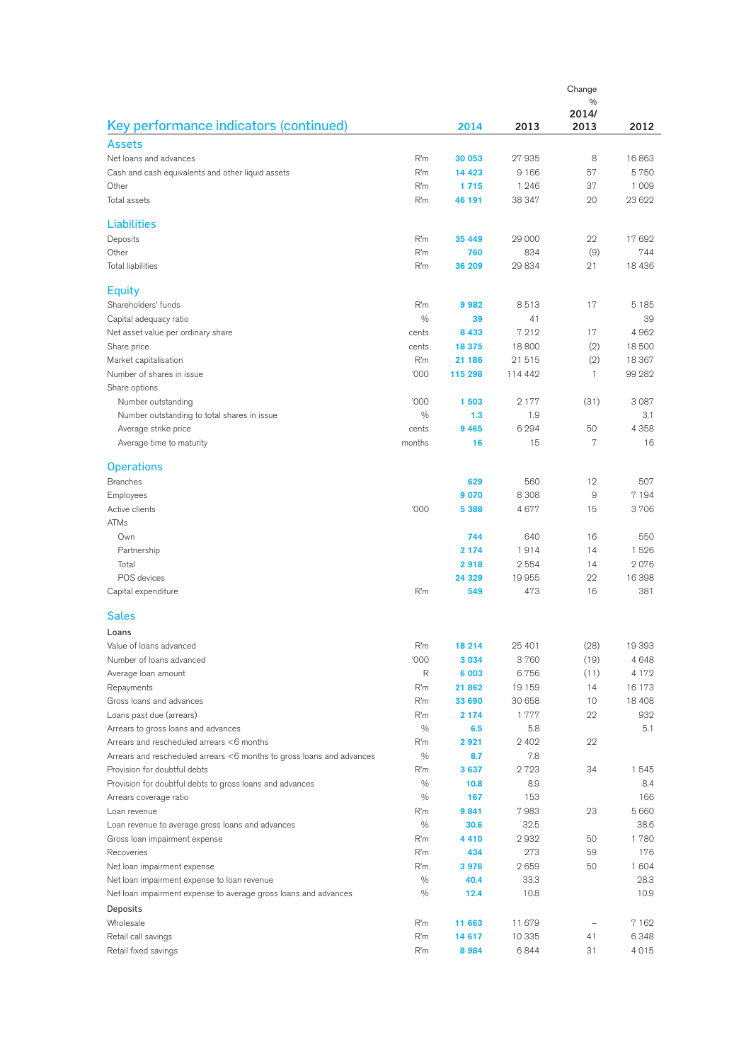|                                                                       |               | Change<br>$\frac{0}{0}$ |         |              |         |
|-----------------------------------------------------------------------|---------------|-------------------------|---------|--------------|---------|
|                                                                       |               |                         |         | 2014/        |         |
| Key performance indicators (continued)                                |               | 2014                    | 2013    | 2013         | 2012    |
| <b>Assets</b>                                                         |               |                         |         |              |         |
| Net loans and advances                                                | R'm           | 30 053                  | 27935   | 8            | 16863   |
| Cash and cash equivalents and other liquid assets                     | R'm           | 14 4 23                 | 9 1 6 6 | 57           | 5750    |
| Other                                                                 | R'm           | 1715                    | 1 2 4 6 | 37           | 1 0 0 9 |
| Total assets                                                          | R'm           | 46 191                  | 38 347  | 20           | 23 622  |
|                                                                       |               |                         |         |              |         |
| <b>Liabilities</b>                                                    |               |                         |         |              |         |
| Deposits                                                              | R'm           | 35 449                  | 29 000  | 22           | 17 692  |
| Other                                                                 | R'm           | 760                     | 834     | (9)          | 744     |
| <b>Total liabilities</b>                                              | R'm           | 36 209                  | 29834   | 21           | 18 4 36 |
| <b>Equity</b>                                                         |               |                         |         |              |         |
| Shareholders' funds                                                   | R'm           | 9982                    | 8513    | 17           | 5 1 8 5 |
|                                                                       | $\frac{0}{0}$ | 39                      | 41      |              | 39      |
| Capital adequacy ratio<br>Net asset value per ordinary share          | cents         | 8433                    | 7212    | 17           | 4962    |
| Share price                                                           | cents         | 18 375                  | 18800   | (2)          | 18500   |
| Market capitalisation                                                 | R'm           | 21 186                  | 21515   | (2)          | 18 367  |
| Number of shares in issue                                             | '000          | 115 298                 | 114 442 | $\mathbf{1}$ | 99 282  |
| Share options                                                         |               |                         |         |              |         |
|                                                                       | '000          | 1503                    | 2 1 7 7 | (31)         | 3 0 8 7 |
| Number outstanding                                                    | $\frac{0}{0}$ | 1.3                     | 1.9     |              | 3.1     |
| Number outstanding to total shares in issue                           | cents         | 9465                    | 6 2 9 4 | 50           | 4 3 5 8 |
| Average strike price<br>Average time to maturity                      | months        | 16                      | 15      | 7            | 16      |
|                                                                       |               |                         |         |              |         |
| <b>Operations</b>                                                     |               |                         |         |              |         |
| <b>Branches</b>                                                       |               | 629                     | 560     | 12           | 507     |
| Employees                                                             |               | 9070                    | 8 3 0 8 | 9            | 7 1 9 4 |
| Active clients                                                        | '000          | 5 3 8 8                 | 4677    | 15           | 3706    |
| <b>ATMs</b>                                                           |               |                         |         |              |         |
| Own                                                                   |               | 744                     | 640     | 16           | 550     |
| Partnership                                                           |               | 2 1 7 4                 | 1914    | 14           | 1526    |
| Total                                                                 |               | 2918                    | 2554    | 14           | 2076    |
| POS devices                                                           |               | 24 329                  | 19955   | 22           | 16 398  |
| Capital expenditure                                                   | R'm           | 549                     | 473     | 16           | 381     |
|                                                                       |               |                         |         |              |         |
| <b>Sales</b>                                                          |               |                         |         |              |         |
| Loans                                                                 |               |                         |         |              |         |
| Value of loans advanced                                               | R'm           | 18 214                  | 25 401  | (28)         | 19 393  |
| Number of loans advanced                                              | '000          | 3 0 3 4                 | 3760    | (19)         | 4648    |
| Average loan amount                                                   | R             | 6 0 0 3                 | 6756    | (11)         | 4 172   |
| Repayments                                                            | R'm           | 21862                   | 19 159  | 14           | 16 173  |
| Gross loans and advances                                              | R'm           | 33 690                  | 30 658  | 10           | 18 40 8 |
| Loans past due (arrears)                                              | R'm           | 2 1 7 4                 | 1777    | 22           | 932     |
| Arrears to gross loans and advances                                   | $\frac{0}{0}$ | 6.5                     | 5.8     |              | 5.1     |
| Arrears and rescheduled arrears <6 months                             | R'm           | 2921                    | 2 4 0 2 | 22           |         |
| Arrears and rescheduled arrears <6 months to gross loans and advances | $\frac{0}{0}$ | 8.7                     | 7.8     |              |         |
| Provision for doubtful debts                                          | R'm           | 3637                    | 2723    | 34           | 1545    |
| Provision for doubtful debts to gross loans and advances              | $\frac{0}{0}$ | 10.8                    | 8.9     |              | 8.4     |
| Arrears coverage ratio                                                | $\frac{0}{0}$ | 167                     | 153     |              | 166     |
| Loan revenue                                                          | R'm           | 9841                    | 7983    | 23           | 5 6 6 0 |
| Loan revenue to average gross loans and advances                      | $\frac{0}{0}$ | 30.6                    | 32.5    |              | 38.6    |
| Gross loan impairment expense                                         | R'm           | 4 4 1 0                 | 2932    | 50           | 1780    |
| Recoveries                                                            | R'm           | 434                     | 273     | 59           | 176     |
| Net loan impairment expense                                           | R'm           | 3976                    | 2659    | 50           | 1 604   |
| Net loan impairment expense to loan revenue                           | $\frac{0}{0}$ | 40.4                    | 33.3    |              | 28.3    |
| Net loan impairment expense to average gross loans and advances       | $\frac{0}{0}$ | 12.4                    | 10.8    |              | 10.9    |
| Deposits                                                              |               |                         |         |              |         |
| Wholesale                                                             | R'm           | 11 663                  | 11 679  |              | 7 1 6 2 |
| Retail call savings                                                   | R'm           | 14 617                  | 10 335  | 41           | 6348    |
| Retail fixed savings                                                  | R'm           | 8984                    | 6844    | 31           | 4015    |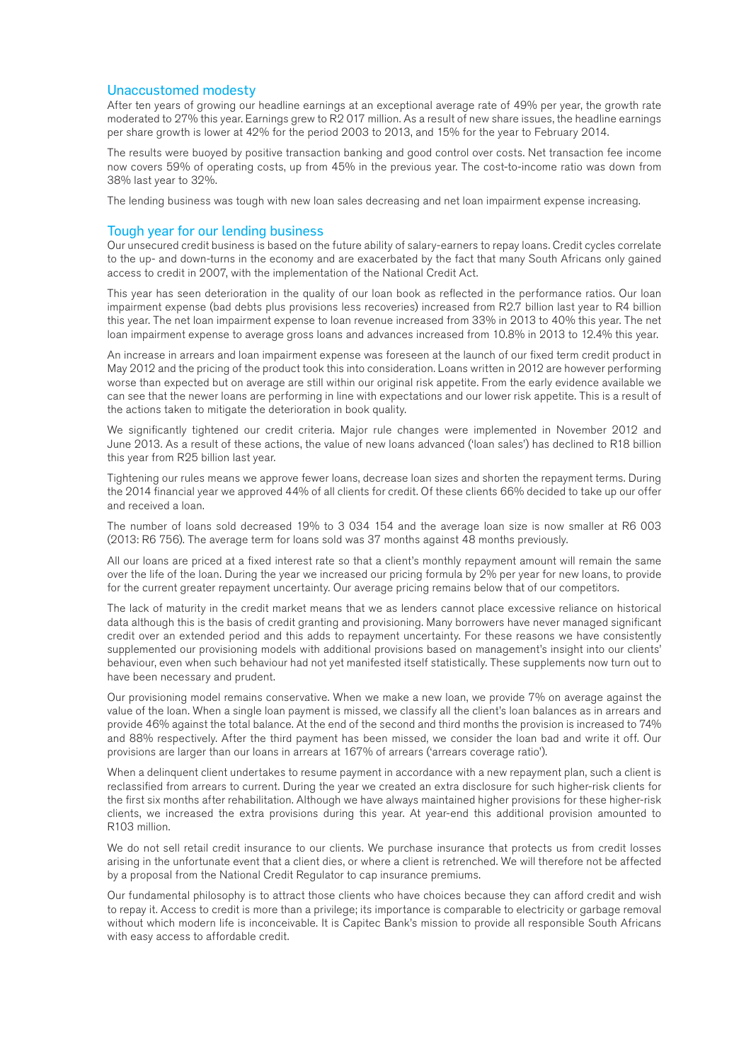### Unaccustomed modesty

After ten years of growing our headline earnings at an exceptional average rate of 49% per year, the growth rate moderated to 27% this year. Earnings grew to R2 017 million. As a result of new share issues, the headline earnings per share growth is lower at 42% for the period 2003 to 2013, and 15% for the year to February 2014.

The results were buoyed by positive transaction banking and good control over costs. Net transaction fee income now covers 59% of operating costs, up from 45% in the previous year. The cost-to-income ratio was down from 38% last year to 32%.

The lending business was tough with new loan sales decreasing and net loan impairment expense increasing.

### Tough year for our lending business

Our unsecured credit business is based on the future ability of salary-earners to repay loans. Credit cycles correlate to the up- and down-turns in the economy and are exacerbated by the fact that many South Africans only gained access to credit in 2007, with the implementation of the National Credit Act.

This year has seen deterioration in the quality of our loan book as reflected in the performance ratios. Our loan impairment expense (bad debts plus provisions less recoveries) increased from R2.7 billion last year to R4 billion this year. The net loan impairment expense to loan revenue increased from 33% in 2013 to 40% this year. The net loan impairment expense to average gross loans and advances increased from 10.8% in 2013 to 12.4% this year.

An increase in arrears and loan impairment expense was foreseen at the launch of our fixed term credit product in May 2012 and the pricing of the product took this into consideration. Loans written in 2012 are however performing worse than expected but on average are still within our original risk appetite. From the early evidence available we can see that the newer loans are performing in line with expectations and our lower risk appetite. This is a result of the actions taken to mitigate the deterioration in book quality.

We significantly tightened our credit criteria. Major rule changes were implemented in November 2012 and June 2013. As a result of these actions, the value of new loans advanced ('loan sales') has declined to R18 billion this year from R25 billion last year.

Tightening our rules means we approve fewer loans, decrease loan sizes and shorten the repayment terms. During the 2014 financial year we approved 44% of all clients for credit. Of these clients 66% decided to take up our offer and received a loan.

The number of loans sold decreased 19% to 3 034 154 and the average loan size is now smaller at R6 003 (2013: R6 756). The average term for loans sold was 37 months against 48 months previously.

All our loans are priced at a fixed interest rate so that a client's monthly repayment amount will remain the same over the life of the loan. During the year we increased our pricing formula by 2% per year for new loans, to provide for the current greater repayment uncertainty. Our average pricing remains below that of our competitors.

The lack of maturity in the credit market means that we as lenders cannot place excessive reliance on historical data although this is the basis of credit granting and provisioning. Many borrowers have never managed significant credit over an extended period and this adds to repayment uncertainty. For these reasons we have consistently supplemented our provisioning models with additional provisions based on management's insight into our clients' behaviour, even when such behaviour had not yet manifested itself statistically. These supplements now turn out to have been necessary and prudent.

Our provisioning model remains conservative. When we make a new loan, we provide 7% on average against the value of the loan. When a single loan payment is missed, we classify all the client's loan balances as in arrears and provide 46% against the total balance. At the end of the second and third months the provision is increased to 74% and 88% respectively. After the third payment has been missed, we consider the loan bad and write it off. Our provisions are larger than our loans in arrears at 167% of arrears ('arrears coverage ratio').

When a delinquent client undertakes to resume payment in accordance with a new repayment plan, such a client is reclassified from arrears to current. During the year we created an extra disclosure for such higher-risk clients for the first six months after rehabilitation. Although we have always maintained higher provisions for these higher-risk clients, we increased the extra provisions during this year. At year-end this additional provision amounted to R103 million.

We do not sell retail credit insurance to our clients. We purchase insurance that protects us from credit losses arising in the unfortunate event that a client dies, or where a client is retrenched. We will therefore not be affected by a proposal from the National Credit Regulator to cap insurance premiums.

Our fundamental philosophy is to attract those clients who have choices because they can afford credit and wish to repay it. Access to credit is more than a privilege; its importance is comparable to electricity or garbage removal without which modern life is inconceivable. It is Capitec Bank's mission to provide all responsible South Africans with easy access to affordable credit.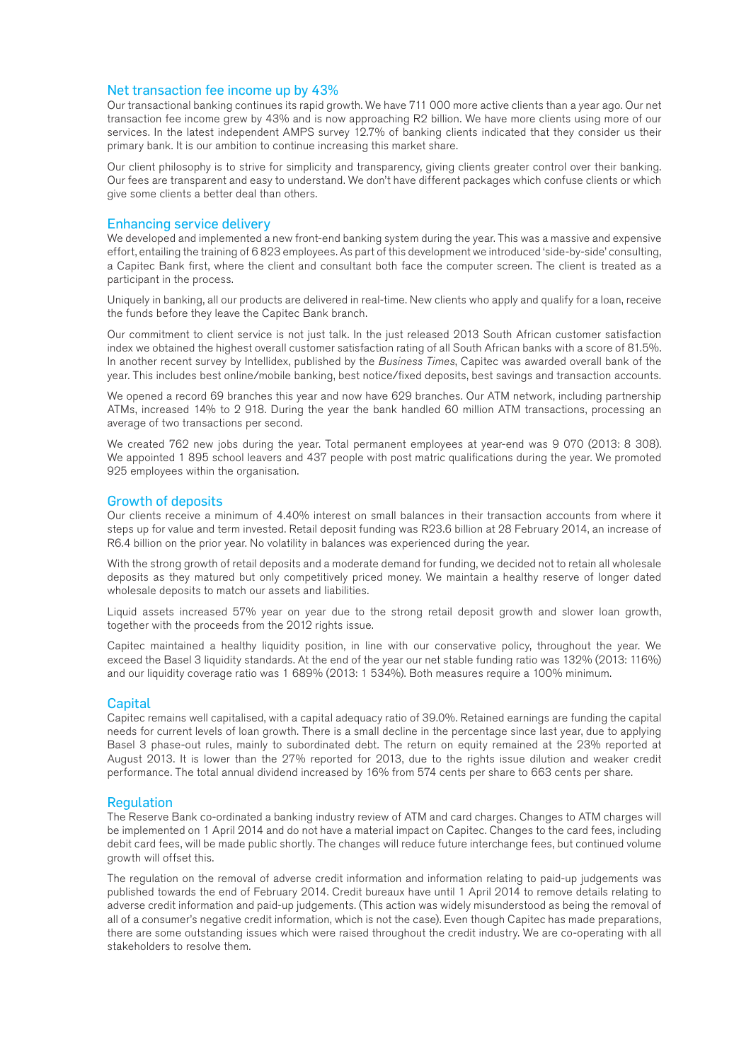### Net transaction fee income up by 43%

Our transactional banking continues its rapid growth. We have 711 000 more active clients than a year ago. Our net transaction fee income grew by 43% and is now approaching R2 billion. We have more clients using more of our services. In the latest independent AMPS survey 12.7% of banking clients indicated that they consider us their primary bank. It is our ambition to continue increasing this market share.

Our client philosophy is to strive for simplicity and transparency, giving clients greater control over their banking. Our fees are transparent and easy to understand. We don't have different packages which confuse clients or which give some clients a better deal than others.

### Enhancing service delivery

We developed and implemented a new front-end banking system during the year. This was a massive and expensive effort, entailing the training of 6 823 employees. As part of this development we introduced 'side-by-side' consulting, a Capitec Bank first, where the client and consultant both face the computer screen. The client is treated as a participant in the process.

Uniquely in banking, all our products are delivered in real-time. New clients who apply and qualify for a loan, receive the funds before they leave the Capitec Bank branch.

Our commitment to client service is not just talk. In the just released 2013 South African customer satisfaction index we obtained the highest overall customer satisfaction rating of all South African banks with a score of 81.5%. In another recent survey by Intellidex, published by the *Business Times*, Capitec was awarded overall bank of the year. This includes best online/mobile banking, best notice/fixed deposits, best savings and transaction accounts.

We opened a record 69 branches this year and now have 629 branches. Our ATM network, including partnership ATMs, increased 14% to 2 918. During the year the bank handled 60 million ATM transactions, processing an average of two transactions per second.

We created 762 new jobs during the year. Total permanent employees at year-end was 9 070 (2013: 8 308). We appointed 1 895 school leavers and 437 people with post matric qualifications during the year. We promoted 925 employees within the organisation.

### Growth of deposits

Our clients receive a minimum of 4.40% interest on small balances in their transaction accounts from where it steps up for value and term invested. Retail deposit funding was R23.6 billion at 28 February 2014, an increase of R6.4 billion on the prior year. No volatility in balances was experienced during the year.

With the strong growth of retail deposits and a moderate demand for funding, we decided not to retain all wholesale deposits as they matured but only competitively priced money. We maintain a healthy reserve of longer dated wholesale deposits to match our assets and liabilities.

Liquid assets increased 57% year on year due to the strong retail deposit growth and slower loan growth, together with the proceeds from the 2012 rights issue.

Capitec maintained a healthy liquidity position, in line with our conservative policy, throughout the year. We exceed the Basel 3 liquidity standards. At the end of the year our net stable funding ratio was 132% (2013: 116%) and our liquidity coverage ratio was 1 689% (2013: 1 534%). Both measures require a 100% minimum.

### **Capital**

Capitec remains well capitalised, with a capital adequacy ratio of 39.0%. Retained earnings are funding the capital needs for current levels of loan growth. There is a small decline in the percentage since last year, due to applying Basel 3 phase-out rules, mainly to subordinated debt. The return on equity remained at the 23% reported at August 2013. It is lower than the 27% reported for 2013, due to the rights issue dilution and weaker credit performance. The total annual dividend increased by 16% from 574 cents per share to 663 cents per share.

### Regulation

The Reserve Bank co-ordinated a banking industry review of ATM and card charges. Changes to ATM charges will be implemented on 1 April 2014 and do not have a material impact on Capitec. Changes to the card fees, including debit card fees, will be made public shortly. The changes will reduce future interchange fees, but continued volume growth will offset this.

The regulation on the removal of adverse credit information and information relating to paid-up judgements was published towards the end of February 2014. Credit bureaux have until 1 April 2014 to remove details relating to adverse credit information and paid-up judgements. (This action was widely misunderstood as being the removal of all of a consumer's negative credit information, which is not the case). Even though Capitec has made preparations, there are some outstanding issues which were raised throughout the credit industry. We are co-operating with all stakeholders to resolve them.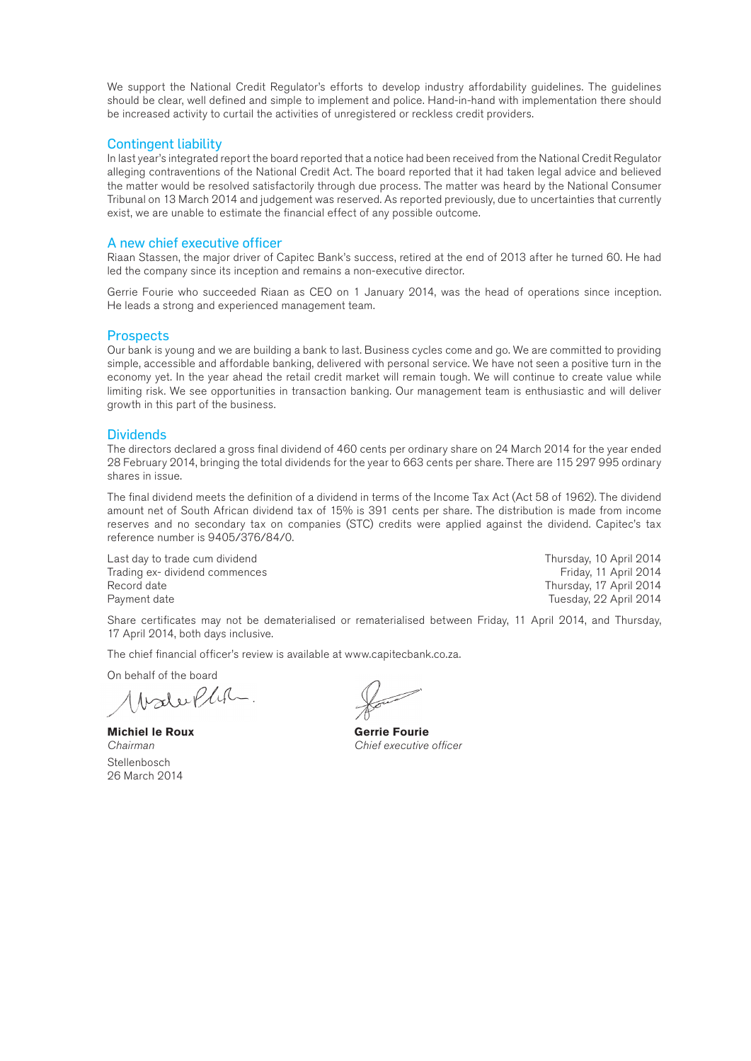We support the National Credit Regulator's efforts to develop industry affordability guidelines. The guidelines should be clear, well defined and simple to implement and police. Hand-in-hand with implementation there should be increased activity to curtail the activities of unregistered or reckless credit providers.

### Contingent liability

In last year's integrated report the board reported that a notice had been received from the National Credit Regulator alleging contraventions of the National Credit Act. The board reported that it had taken legal advice and believed the matter would be resolved satisfactorily through due process. The matter was heard by the National Consumer Tribunal on 13 March 2014 and judgement was reserved. As reported previously, due to uncertainties that currently exist, we are unable to estimate the financial effect of any possible outcome.

### A new chief executive officer

Riaan Stassen, the major driver of Capitec Bank's success, retired at the end of 2013 after he turned 60. He had led the company since its inception and remains a non-executive director.

Gerrie Fourie who succeeded Riaan as CEO on 1 January 2014, was the head of operations since inception. He leads a strong and experienced management team.

### **Prospects**

Our bank is young and we are building a bank to last. Business cycles come and go. We are committed to providing simple, accessible and affordable banking, delivered with personal service. We have not seen a positive turn in the economy yet. In the year ahead the retail credit market will remain tough. We will continue to create value while limiting risk. We see opportunities in transaction banking. Our management team is enthusiastic and will deliver growth in this part of the business.

### **Dividends**

The directors declared a gross final dividend of 460 cents per ordinary share on 24 March 2014 for the year ended 28 February 2014, bringing the total dividends for the year to 663 cents per share. There are 115 297 995 ordinary shares in issue.

The final dividend meets the definition of a dividend in terms of the Income Tax Act (Act 58 of 1962). The dividend amount net of South African dividend tax of 15% is 391 cents per share. The distribution is made from income reserves and no secondary tax on companies (STC) credits were applied against the dividend. Capitec's tax reference number is 9405/376/84/0.

Last day to trade cum dividend **Thursday, 10 April 2014** Thursday, 10 April 2014 Trading ex- dividend commences **Friday, 11 April 2014** Friday, 11 April 2014 Record date **Thursday, 17 April 2014** Payment date **Tuesday, 22 April 2014** 

Share certificates may not be dematerialised or rematerialised between Friday, 11 April 2014, and Thursday, 17 April 2014, both days inclusive.

The chief financial officer's review is available at www.capitecbank.co.za.

On behalf of the board<br> $\bigwedge \bigwedge_{\mathcal{U}} \bigwedge_{\mathcal{U}} \bigwedge_{\mathcal{U}} \bigwedge_{\mathcal{U}} \bigwedge_{\mathcal{U}} \dots$ 

**Michiel le Roux Gerrie Fourie** Stellenbosch 26 March 2014

*Chairman Chief executive officer*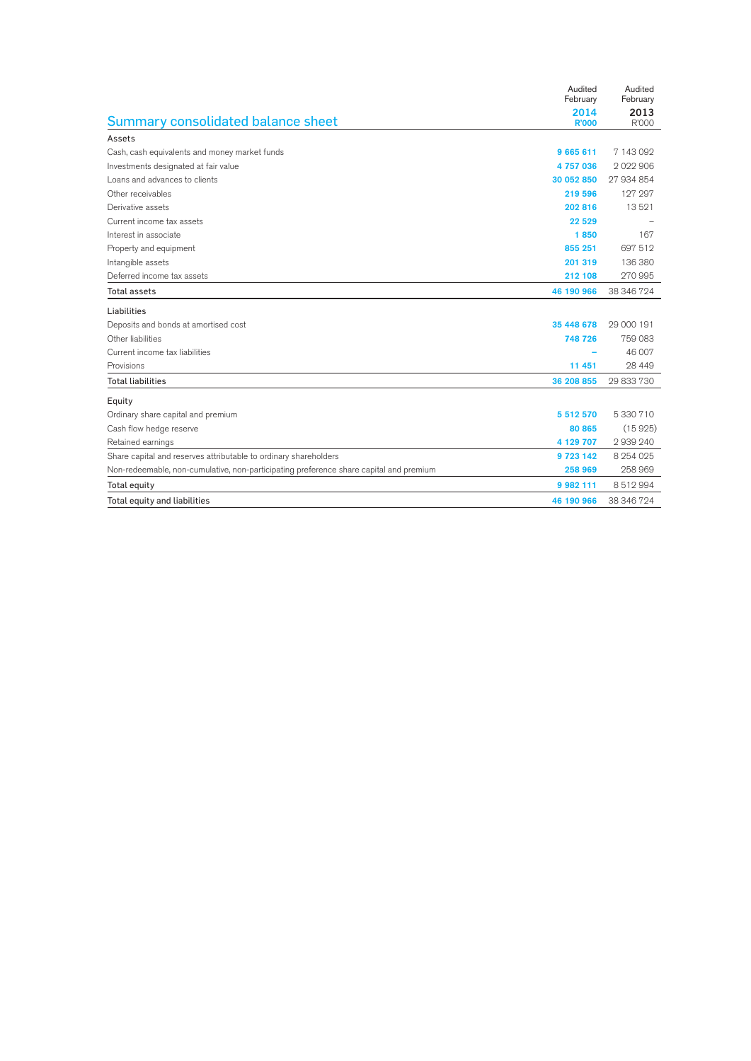|                                                                                        | Audited<br>February | Audited<br>February |
|----------------------------------------------------------------------------------------|---------------------|---------------------|
|                                                                                        | 2014                | 2013                |
| Summary consolidated balance sheet                                                     | <b>R'000</b>        | R'000               |
| Assets                                                                                 |                     |                     |
| Cash, cash equivalents and money market funds                                          | 9665611             | 7 143 092           |
| Investments designated at fair value                                                   | 4757036             | 2022906             |
| Loans and advances to clients                                                          | 30 052 850          | 27 934 854          |
| Other receivables                                                                      | 219 596             | 127 297             |
| Derivative assets                                                                      | 202 816             | 13521               |
| Current income tax assets                                                              | 22 5 29             |                     |
| Interest in associate                                                                  | 1850                | 167                 |
| Property and equipment                                                                 | 855 251             | 697 512             |
| Intangible assets                                                                      | 201 319             | 136 380             |
| Deferred income tax assets                                                             | 212 108             | 270 995             |
| <b>Total assets</b>                                                                    | 46 190 966          | 38 346 724          |
| Liabilities                                                                            |                     |                     |
| Deposits and bonds at amortised cost                                                   | 35 448 678          | 29 000 191          |
| Other liabilities                                                                      | 748 726             | 759 083             |
| Current income tax liabilities                                                         |                     | 46 007              |
| Provisions                                                                             | 11 451              | 28 4 4 9            |
| <b>Total liabilities</b>                                                               | 36 208 855          | 29 833 730          |
| Equity                                                                                 |                     |                     |
| Ordinary share capital and premium                                                     | 5 512 570           | 5 330 710           |
| Cash flow hedge reserve                                                                | 80 865              | (15925)             |
| Retained earnings                                                                      | 4 129 707           | 2939240             |
| Share capital and reserves attributable to ordinary shareholders                       | 9723142             | 8 254 0 25          |
| Non-redeemable, non-cumulative, non-participating preference share capital and premium | 258 969             | 258 969             |
| Total equity                                                                           | 9 982 111           | 8512994             |
| Total equity and liabilities                                                           | 46 190 966          | 38 346 724          |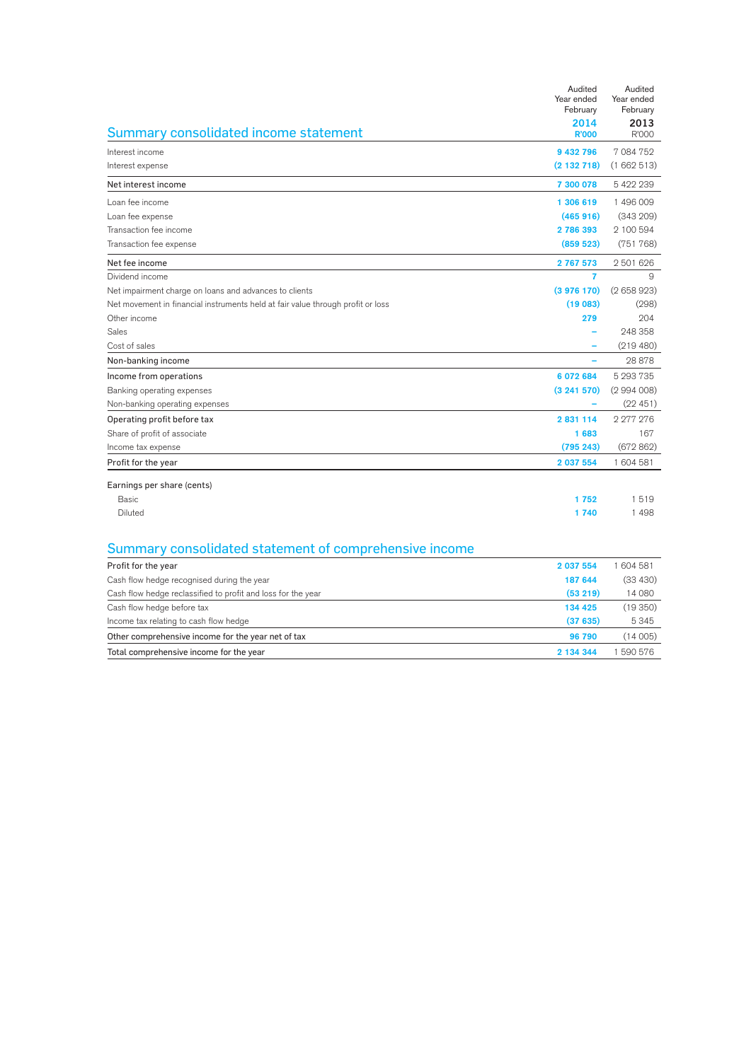|                                                                                 | Audited<br>Year ended<br>February | Audited<br>Year ended<br>February |
|---------------------------------------------------------------------------------|-----------------------------------|-----------------------------------|
|                                                                                 | 2014                              | 2013                              |
| Summary consolidated income statement                                           | <b>R'000</b>                      | R'000                             |
| Interest income                                                                 | 9 432 796                         | 7 084 752                         |
| Interest expense                                                                | (2132718)                         | (1662513)                         |
| Net interest income                                                             | 7 300 078                         | 5 422 239                         |
| Loan fee income                                                                 | 1 306 619                         | 1496009                           |
| Loan fee expense                                                                | (465916)                          | (343 209)                         |
| Transaction fee income                                                          | 2786393                           | 2 100 594                         |
| Transaction fee expense                                                         | (859 523)                         | (751768)                          |
| Net fee income                                                                  | 2767573                           | 2 501 626                         |
| Dividend income                                                                 | 7                                 | 9                                 |
| Net impairment charge on loans and advances to clients                          | (3976170)                         | (2658923)                         |
| Net movement in financial instruments held at fair value through profit or loss | (19083)                           | (298)                             |
| Other income                                                                    | 279                               | 204                               |
| Sales                                                                           |                                   | 248 358                           |
| Cost of sales                                                                   |                                   | (219 480)                         |
| Non-banking income                                                              |                                   | 28 878                            |
| Income from operations                                                          | 6 072 684                         | 5 293 735                         |
| Banking operating expenses                                                      | (3241570)                         | (2994008)                         |
| Non-banking operating expenses                                                  |                                   | (22451)                           |
| Operating profit before tax                                                     | 2 831 114                         | 2 277 276                         |
| Share of profit of associate                                                    | 1683                              | 167                               |
| Income tax expense                                                              | (795 243)                         | (672862)                          |
| Profit for the year                                                             | 2 037 554                         | 1 604 581                         |
| Earnings per share (cents)                                                      |                                   |                                   |
| <b>Basic</b>                                                                    | 1752                              | 1519                              |
| Diluted                                                                         | 1740                              | 1498                              |
|                                                                                 |                                   |                                   |
| Summary consolidated statement of comprehensive income                          |                                   |                                   |
| Profit for the year                                                             | 2 037 554                         | 1 604 581                         |
| Cash flow hedge recognised during the year                                      | 187 644                           | (33 430)                          |
| Cash flow hedge reclassified to profit and loss for the year                    | (53 219)                          | 14 080                            |
| Cash flow hedge before tax                                                      | 134 425                           | (19350)                           |
| Income tax relating to cash flow hedge                                          | (37635)                           | 5345                              |
| Other comprehensive income for the year net of tax                              | 96 790                            | (14005)                           |
| Total comprehensive income for the year                                         | 2 134 344                         | 1 590 576                         |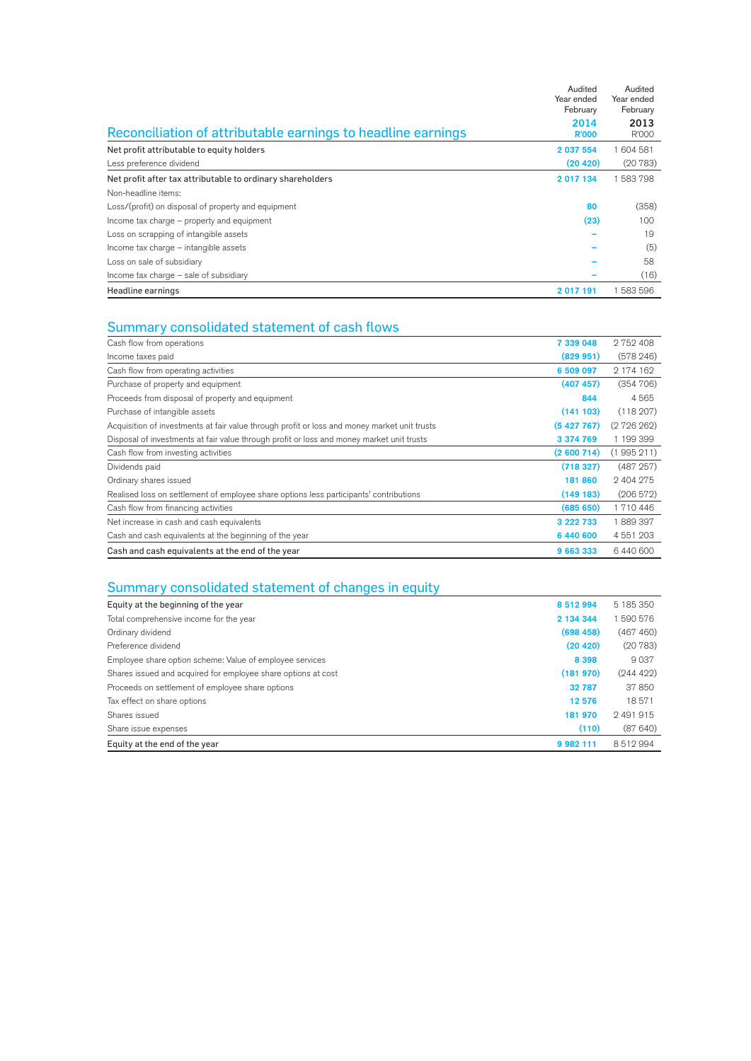|                                                              | Audited<br>Year ended<br>February | Audited<br>Year ended<br>February |
|--------------------------------------------------------------|-----------------------------------|-----------------------------------|
| Reconciliation of attributable earnings to headline earnings | 2014<br><b>R'000</b>              | 2013<br>R'000                     |
| Net profit attributable to equity holders                    | 2 037 554                         | 604 581                           |
| Less preference dividend                                     | (20, 420)                         | (20783)                           |
| Net profit after tax attributable to ordinary shareholders   | 2 017 134                         | 583798                            |
| Non-headline items:                                          |                                   |                                   |
| Loss/(profit) on disposal of property and equipment          | 80                                | (358)                             |
| Income tax charge – property and equipment                   | (23)                              | 100                               |
| Loss on scrapping of intangible assets                       |                                   | 19                                |
| Income tax charge - intangible assets                        |                                   | (5)                               |
| Loss on sale of subsidiary                                   |                                   | 58                                |
| Income tax charge – sale of subsidiary                       |                                   | (16)                              |
| Headline earnings                                            | 2017191                           | 583 596                           |

## Summary consolidated statement of cash flows

| Cash flow from operations                                                                    | 7 339 048 | 2752408   |
|----------------------------------------------------------------------------------------------|-----------|-----------|
| Income taxes paid                                                                            | (829 951) | (578246)  |
| Cash flow from operating activities                                                          | 6 509 097 | 2 174 162 |
| Purchase of property and equipment                                                           | (407 457) | (354706)  |
| Proceeds from disposal of property and equipment                                             | 844       | 4565      |
| Purchase of intangible assets                                                                | (141103)  | (118207)  |
| Acquisition of investments at fair value through profit or loss and money market unit trusts | (5427767) | (272626)  |
| Disposal of investments at fair value through profit or loss and money market unit trusts    | 3 374 769 | 1 199 399 |
| Cash flow from investing activities                                                          | (2600714) | (1995211) |
| Dividends paid                                                                               | (718327)  | (487257)  |
| Ordinary shares issued                                                                       | 181 860   | 2 404 275 |
| Realised loss on settlement of employee share options less participants' contributions       | (149183)  | (206572)  |
| Cash flow from financing activities                                                          | (68565)   | 1710446   |
| Net increase in cash and cash equivalents                                                    | 3 222 733 | 1889397   |
| Cash and cash equivalents at the beginning of the year                                       | 6 440 600 | 4 551 203 |
| Cash and cash equivalents at the end of the year                                             | 9 663 333 | 6440600   |

## Summary consolidated statement of changes in equity

| Equity at the beginning of the year                           | 8512994       | 5 185 350 |
|---------------------------------------------------------------|---------------|-----------|
| Total comprehensive income for the year                       | 2 134 344     | 590 576   |
| Ordinary dividend                                             | (698, 458)    | (467 460) |
| Preference dividend                                           | (20 420)      | (20783)   |
| Employee share option scheme: Value of employee services      | 8 3 9 8       | 9037      |
| Shares issued and acquired for employee share options at cost | (181970)      | (244 422) |
| Proceeds on settlement of employee share options              | 32 787        | 37850     |
| Tax effect on share options                                   | 12 576        | 18571     |
| Shares issued                                                 | 181 970       | 2491915   |
| Share issue expenses                                          | (110)         | (87640)   |
| Equity at the end of the year                                 | 9 9 8 2 1 1 1 | 8512994   |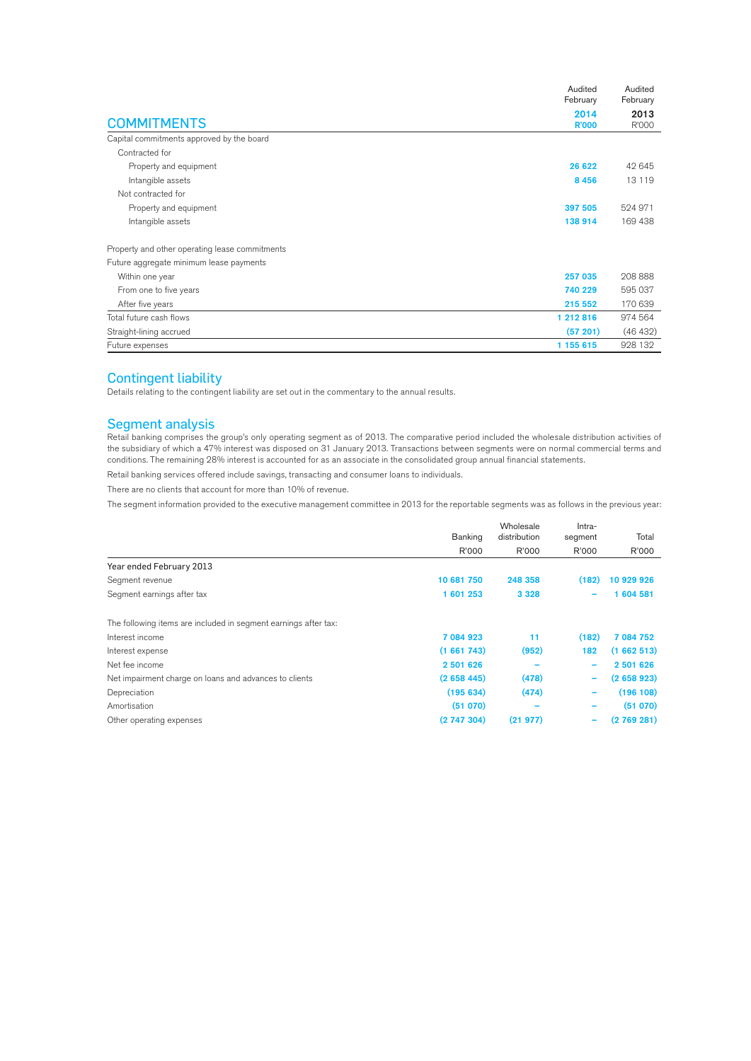|                                                | Audited<br>February  | Audited<br>February |
|------------------------------------------------|----------------------|---------------------|
| <b>COMMITMENTS</b>                             | 2014<br><b>R'000</b> | 2013<br>R'000       |
| Capital commitments approved by the board      |                      |                     |
| Contracted for                                 |                      |                     |
| Property and equipment                         | 26 622               | 42 645              |
| Intangible assets                              | 8 4 5 6              | 13 1 19             |
| Not contracted for                             |                      |                     |
| Property and equipment                         | 397 505              | 524 971             |
| Intangible assets                              | 138 914              | 169 438             |
| Property and other operating lease commitments |                      |                     |
| Future aggregate minimum lease payments        |                      |                     |
| Within one year                                | 257 035              | 208 888             |
| From one to five years                         | 740 229              | 595 037             |
| After five years                               | 215 552              | 170 639             |
| Total future cash flows                        | 1 212 816            | 974 564             |
| Straight-lining accrued                        | (57201)              | (46 432)            |
| Future expenses                                | 1 155 615            | 928 132             |

### Contingent liability

Details relating to the contingent liability are set out in the commentary to the annual results.

### Segment analysis

Retail banking comprises the group's only operating segment as of 2013. The comparative period included the wholesale distribution activities of the subsidiary of which a 47% interest was disposed on 31 January 2013. Transactions between segments were on normal commercial terms and conditions. The remaining 28% interest is accounted for as an associate in the consolidated group annual financial statements.

Retail banking services offered include savings, transacting and consumer loans to individuals.

There are no clients that account for more than 10% of revenue.

The segment information provided to the executive management committee in 2013 for the reportable segments was as follows in the previous year:

|                                                                 | Wholesale  |              | Intra-                   |            |
|-----------------------------------------------------------------|------------|--------------|--------------------------|------------|
|                                                                 | Banking    | distribution | segment                  | Total      |
|                                                                 | R'000      | R'000        | R'000                    | R'000      |
| Year ended February 2013                                        |            |              |                          |            |
| Segment revenue                                                 | 10 681 750 | 248 358      | (182)                    | 10 929 926 |
| Segment earnings after tax                                      | 1 601 253  | 3 3 2 8      |                          | 1 604 581  |
| The following items are included in segment earnings after tax: |            |              |                          |            |
| Interest income                                                 | 7 084 923  | 11           | (182)                    | 7 084 752  |
| Interest expense                                                | (1661743)  | (952)        | 182                      | (1662513)  |
| Net fee income                                                  | 2 501 626  |              | $\overline{\phantom{0}}$ | 2 501 626  |
| Net impairment charge on loans and advances to clients          | (2658445)  | (478)        | -                        | (2658923)  |
| Depreciation                                                    | (195634)   | (474)        | $\overline{\phantom{0}}$ | (196 108)  |
| Amortisation                                                    | (51 070)   |              |                          | (51 070)   |
| Other operating expenses                                        | (2747304)  | (21977)      |                          | (2769281)  |